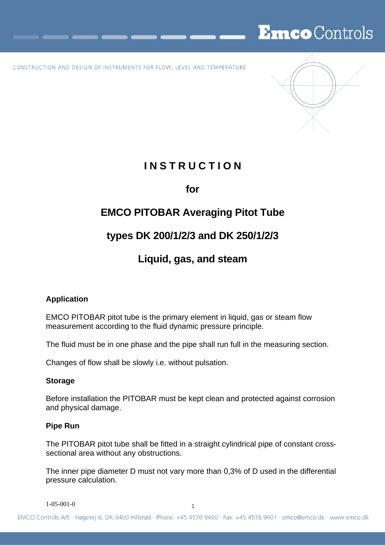# EmcoControls

CONSTRUCTION AND DESIGN OF INSTRUMENTS FOR FLOW, LEVEL AND TEMPERATURE



# **I N S T R U C T I O N**

**for** 

# **EMCO PITOBAR Averaging Pitot Tube**

# **types DK 200/1/2/3 and DK 250/1/2/3**

### **Liquid, gas, and steam**

### **Application**

EMCO PITOBAR pitot tube is the primary element in liquid, gas or steam flow measurement according to the fluid dynamic pressure principle.

The fluid must be in one phase and the pipe shall run full in the measuring section.

Changes of flow shall be slowly i.e. without pulsation.

### **Storage**

Before installation the PITOBAR must be kept clean and protected against corrosion and physical damage.

### **Pipe Run**

The PITOBAR pitot tube shall be fitted in a straight cylindrical pipe of constant crosssectional area without any obstructions.

The inner pipe diameter D must not vary more than 0,3% of D used in the differential pressure calculation.

1-05-001-0 1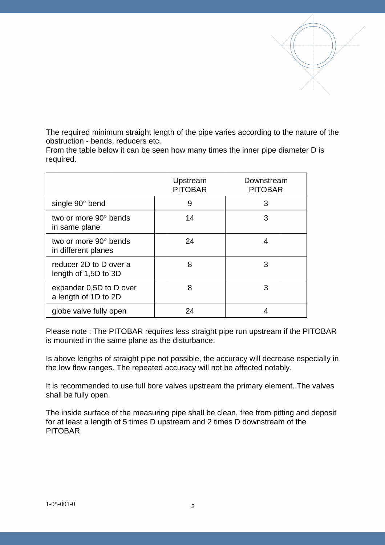The required minimum straight length of the pipe varies according to the nature of the obstruction - bends, reducers etc.

From the table below it can be seen how many times the inner pipe diameter D is required.

|                                                 | Upstream<br><b>PITOBAR</b> | Downstream<br><b>PITOBAR</b> |
|-------------------------------------------------|----------------------------|------------------------------|
| single 90° bend                                 | 9                          | 3                            |
| two or more 90° bends<br>in same plane          | 14                         | 3                            |
| two or more 90° bends<br>in different planes    | 24                         | 4                            |
| reducer 2D to D over a<br>length of 1,5D to 3D  | 8                          | 3                            |
| expander 0,5D to D over<br>a length of 1D to 2D | 8                          | 3                            |
| globe valve fully open                          | 24                         |                              |

Please note : The PITOBAR requires less straight pipe run upstream if the PITOBAR is mounted in the same plane as the disturbance.

Is above lengths of straight pipe not possible, the accuracy will decrease especially in the low flow ranges. The repeated accuracy will not be affected notably.

It is recommended to use full bore valves upstream the primary element. The valves shall be fully open.

The inside surface of the measuring pipe shall be clean, free from pitting and deposit for at least a length of 5 times D upstream and 2 times D downstream of the PITOBAR.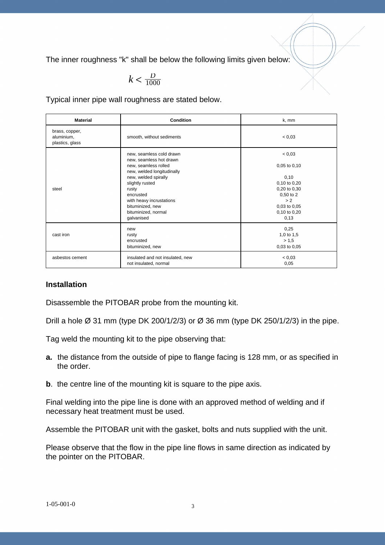The inner roughness "k" shall be below the following limits given below:

$$
k < \frac{D}{1000}
$$

Typical inner pipe wall roughness are stated below.

| <b>Material</b>                                                                  | <b>Condition</b>                                                                                      | k, mm                                                                                                    |
|----------------------------------------------------------------------------------|-------------------------------------------------------------------------------------------------------|----------------------------------------------------------------------------------------------------------|
| brass, copper,<br>aluminium,<br>plastics, glass                                  | smooth, without sediments                                                                             | < 0.03                                                                                                   |
|                                                                                  | new, seamless cold drawn<br>new, seamless hot drawn<br>new, seamless rolled                           | < 0.03<br>$0,05$ to $0,10$                                                                               |
| slightly rusted<br>steel<br>rusty<br>encrusted<br>bituminized, new<br>galvanised | new, welded longitudinally<br>new, welded spirally<br>with heavy incrustations<br>bituminized, normal | 0,10<br>0,10 to 0,20<br>0,20 to 0,30<br>$0,50$ to $2$<br>> 2<br>$0,03$ to $0,05$<br>0,10 to 0,20<br>0,13 |
| cast iron                                                                        | new<br>rusty<br>encrusted<br>bituminized, new                                                         | 0,25<br>1,0 to 1,5<br>> 1,5<br>0,03 to 0,05                                                              |
| asbestos cement                                                                  | insulated and not insulated, new<br>not insulated, normal                                             | < 0.03<br>0,05                                                                                           |

#### **Installation**

Disassemble the PITOBAR probe from the mounting kit.

Drill a hole  $\varnothing$  31 mm (type DK 200/1/2/3) or  $\varnothing$  36 mm (type DK 250/1/2/3) in the pipe.

Tag weld the mounting kit to the pipe observing that:

- **a.** the distance from the outside of pipe to flange facing is 128 mm, or as specified in the order.
- **b**. the centre line of the mounting kit is square to the pipe axis.

Final welding into the pipe line is done with an approved method of welding and if necessary heat treatment must be used.

Assemble the PITOBAR unit with the gasket, bolts and nuts supplied with the unit.

Please observe that the flow in the pipe line flows in same direction as indicated by the pointer on the PITOBAR.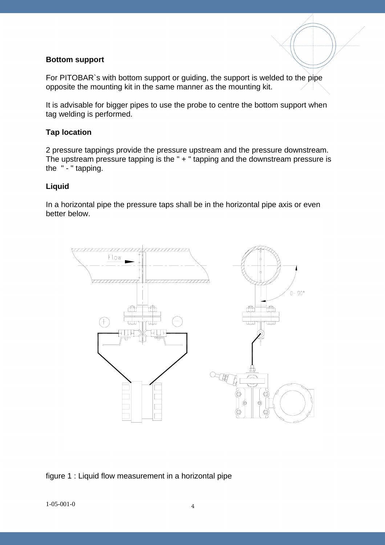#### **Bottom support**

For PITOBAR`s with bottom support or guiding, the support is welded to the pipe opposite the mounting kit in the same manner as the mounting kit.

It is advisable for bigger pipes to use the probe to centre the bottom support when tag welding is performed.

#### **Tap location**

2 pressure tappings provide the pressure upstream and the pressure downstream. The upstream pressure tapping is the " + " tapping and the downstream pressure is the " - " tapping.

#### **Liquid**

In a horizontal pipe the pressure taps shall be in the horizontal pipe axis or even better below.



figure 1 : Liquid flow measurement in a horizontal pipe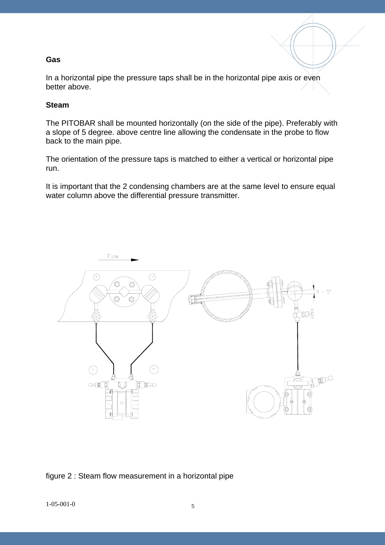#### **Gas**

In a horizontal pipe the pressure taps shall be in the horizontal pipe axis or even better above.

#### **Steam**

The PITOBAR shall be mounted horizontally (on the side of the pipe). Preferably with a slope of 5 degree. above centre line allowing the condensate in the probe to flow back to the main pipe.

The orientation of the pressure taps is matched to either a vertical or horizontal pipe run.

It is important that the 2 condensing chambers are at the same level to ensure equal water column above the differential pressure transmitter.



figure 2 : Steam flow measurement in a horizontal pipe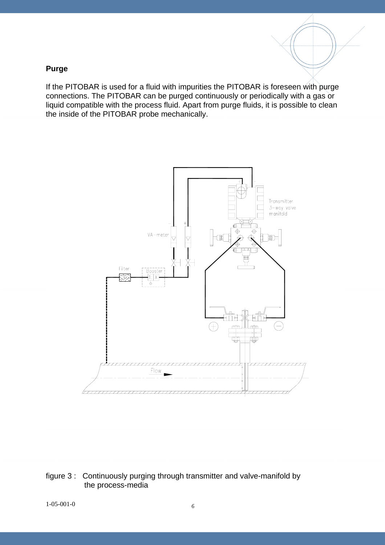#### **Purge**

If the PITOBAR is used for a fluid with impurities the PITOBAR is foreseen with purge connections. The PITOBAR can be purged continuously or periodically with a gas or liquid compatible with the process fluid. Apart from purge fluids, it is possible to clean the inside of the PITOBAR probe mechanically.



figure 3 : Continuously purging through transmitter and valve-manifold by the process-media

1-05-001-0 6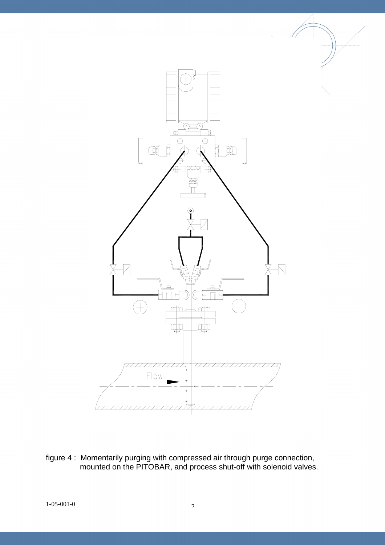

figure 4 : Momentarily purging with compressed air through purge connection, mounted on the PITOBAR, and process shut-off with solenoid valves.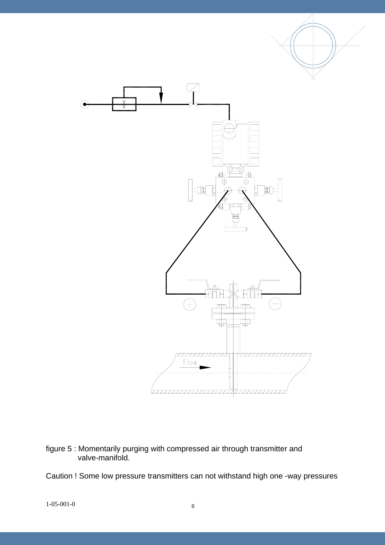

figure 5 : Momentarily purging with compressed air through transmitter and valve-manifold.

Caution ! Some low pressure transmitters can not withstand high one -way pressures